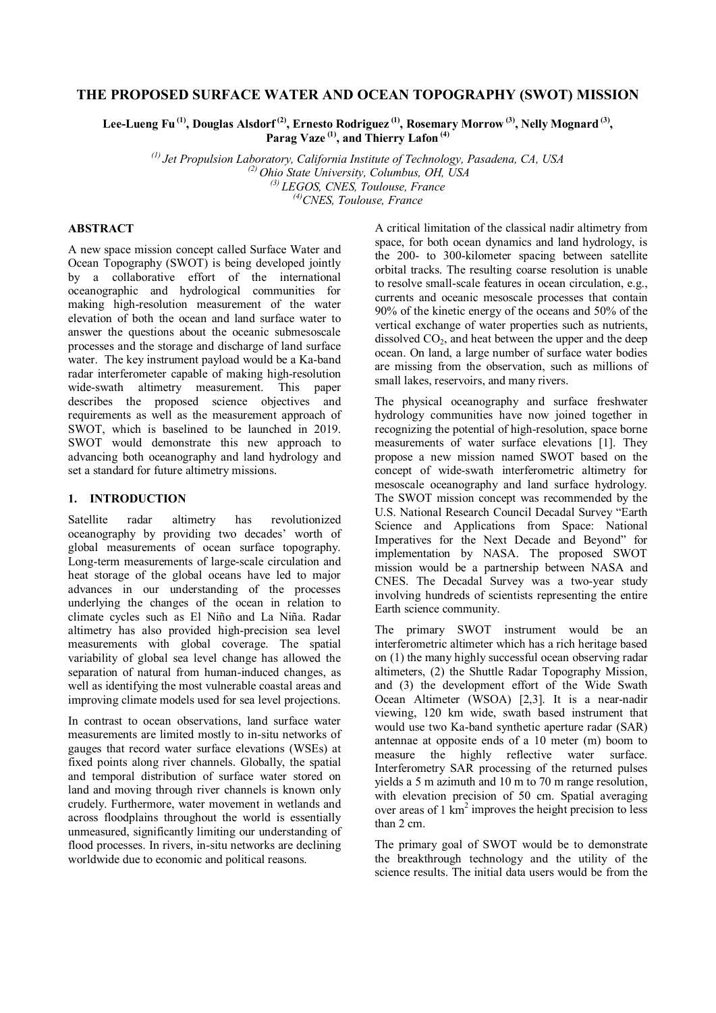### **THE PROPOSED SURFACE WATER AND OCEAN TOPOGRAPHY (SWOT) MISSION**

**Lee-Lueng Fu (1), Douglas Alsdorf (2), Ernesto Rodriguez (1), Rosemary Morrow (3), Nelly Mognard (3), Parag Vaze (1), and Thierry Lafon (4)**

*(1) Jet Propulsion Laboratory, California Institute of Technology, Pasadena, CA, USA (2) Ohio State University, Columbus, OH, USA (3) LEGOS, CNES, Toulouse, France (4)CNES, Toulouse, France*

### **ABSTRACT**

A new space mission concept called Surface Water and Ocean Topography (SWOT) is being developed jointly by a collaborative effort of the international oceanographic and hydrological communities for making high-resolution measurement of the water elevation of both the ocean and land surface water to answer the questions about the oceanic submesoscale processes and the storage and discharge of land surface water. The key instrument payload would be a Ka-band radar interferometer capable of making high-resolution wide-swath altimetry measurement. This paper describes the proposed science objectives and requirements as well as the measurement approach of SWOT, which is baselined to be launched in 2019. SWOT would demonstrate this new approach to advancing both oceanography and land hydrology and set a standard for future altimetry missions.

#### **1. INTRODUCTION**

Satellite radar altimetry has revolutionized oceanography by providing two decades' worth of global measurements of ocean surface topography. Long-term measurements of large-scale circulation and heat storage of the global oceans have led to major advances in our understanding of the processes underlying the changes of the ocean in relation to climate cycles such as El Niño and La Niña. Radar altimetry has also provided high-precision sea level measurements with global coverage. The spatial variability of global sea level change has allowed the separation of natural from human-induced changes, as well as identifying the most vulnerable coastal areas and improving climate models used for sea level projections.

In contrast to ocean observations, land surface water measurements are limited mostly to in-situ networks of gauges that record water surface elevations (WSEs) at fixed points along river channels. Globally, the spatial and temporal distribution of surface water stored on land and moving through river channels is known only crudely. Furthermore, water movement in wetlands and across floodplains throughout the world is essentially unmeasured, significantly limiting our understanding of flood processes. In rivers, in-situ networks are declining worldwide due to economic and political reasons.

A critical limitation of the classical nadir altimetry from space, for both ocean dynamics and land hydrology, is the 200- to 300-kilometer spacing between satellite orbital tracks. The resulting coarse resolution is unable to resolve small-scale features in ocean circulation, e.g., currents and oceanic mesoscale processes that contain 90% of the kinetic energy of the oceans and 50% of the vertical exchange of water properties such as nutrients, dissolved  $CO<sub>2</sub>$ , and heat between the upper and the deep ocean. On land, a large number of surface water bodies are missing from the observation, such as millions of small lakes, reservoirs, and many rivers.

The physical oceanography and surface freshwater hydrology communities have now joined together in recognizing the potential of high-resolution, space borne measurements of water surface elevations [1]. They propose a new mission named SWOT based on the concept of wide-swath interferometric altimetry for mesoscale oceanography and land surface hydrology. The SWOT mission concept was recommended by the U.S. National Research Council Decadal Survey "Earth Science and Applications from Space: National Imperatives for the Next Decade and Beyond" for implementation by NASA. The proposed SWOT mission would be a partnership between NASA and CNES. The Decadal Survey was a two-year study involving hundreds of scientists representing the entire Earth science community.

The primary SWOT instrument would be an interferometric altimeter which has a rich heritage based on (1) the many highly successful ocean observing radar altimeters, (2) the Shuttle Radar Topography Mission, and (3) the development effort of the Wide Swath Ocean Altimeter (WSOA) [2,3]. It is a near-nadir viewing, 120 km wide, swath based instrument that would use two Ka-band synthetic aperture radar (SAR) antennae at opposite ends of a 10 meter (m) boom to measure the highly reflective water surface. Interferometry SAR processing of the returned pulses yields a 5 m azimuth and 10 m to 70 m range resolution, with elevation precision of 50 cm. Spatial averaging over areas of  $1 \text{ km}^2$  improves the height precision to less than 2 cm.

The primary goal of SWOT would be to demonstrate the breakthrough technology and the utility of the science results. The initial data users would be from the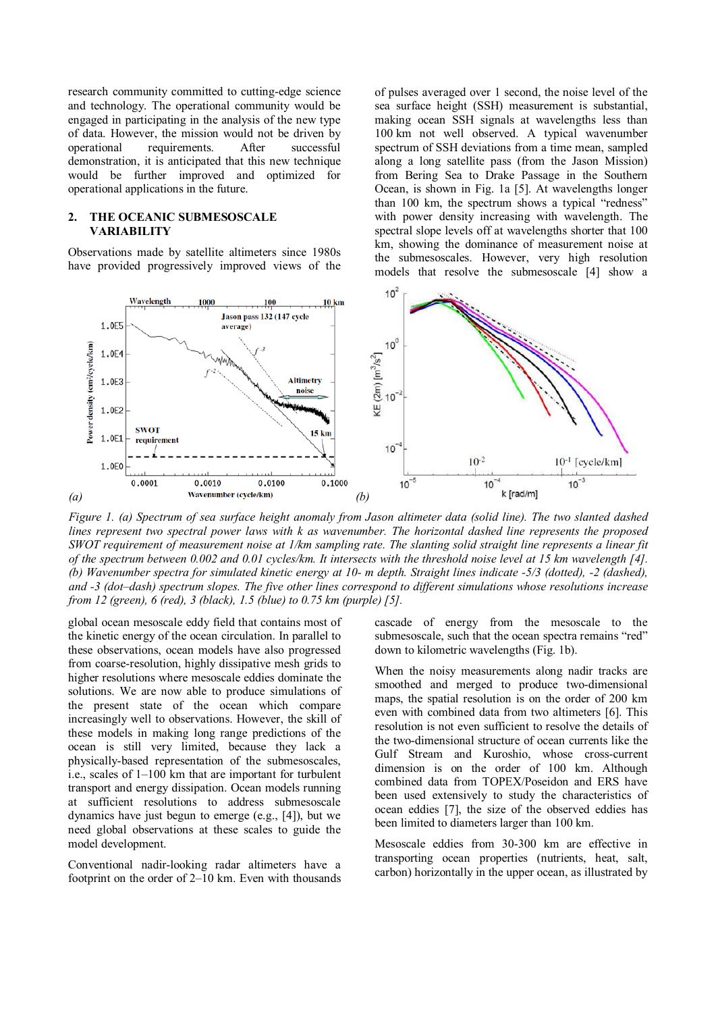research community committed to cutting-edge science and technology. The operational community would be engaged in participating in the analysis of the new type of data. However, the mission would not be driven by operational requirements. After successful demonstration, it is anticipated that this new technique would be further improved and optimized for operational applications in the future.

### **2. THE OCEANIC SUBMESOSCALE VARIABILITY**

Observations made by satellite altimeters since 1980s have provided progressively improved views of the of pulses averaged over 1 second, the noise level of the sea surface height (SSH) measurement is substantial, making ocean SSH signals at wavelengths less than 100 km not well observed. A typical wavenumber spectrum of SSH deviations from a time mean, sampled along a long satellite pass (from the Jason Mission) from Bering Sea to Drake Passage in the Southern Ocean, is shown in Fig. 1a [5]. At wavelengths longer than 100 km, the spectrum shows a typical "redness" with power density increasing with wavelength. The spectral slope levels off at wavelengths shorter that 100 km, showing the dominance of measurement noise at the submesoscales. However, very high resolution models that resolve the submesoscale [4] show a



*Figure 1. (a) Spectrum of sea surface height anomaly from Jason altimeter data (solid line). The two slanted dashed lines represent two spectral power laws with k as wavenumber. The horizontal dashed line represents the proposed SWOT requirement of measurement noise at 1/km sampling rate. The slanting solid straight line represents a linear fit of the spectrum between 0.002 and 0.01 cycles/km. It intersects with the threshold noise level at 15 km wavelength [4]. (b) Wavenumber spectra for simulated kinetic energy at 10- m depth. Straight lines indicate -5/3 (dotted), -2 (dashed), and -3 (dot–dash) spectrum slopes. The five other lines correspond to different simulations whose resolutions increase from 12 (green), 6 (red), 3 (black), 1.5 (blue) to 0.75 km (purple) [5].*

global ocean mesoscale eddy field that contains most of the kinetic energy of the ocean circulation. In parallel to these observations, ocean models have also progressed from coarse-resolution, highly dissipative mesh grids to higher resolutions where mesoscale eddies dominate the solutions. We are now able to produce simulations of the present state of the ocean which compare increasingly well to observations. However, the skill of these models in making long range predictions of the ocean is still very limited, because they lack a physically-based representation of the submesoscales, i.e., scales of 1–100 km that are important for turbulent transport and energy dissipation. Ocean models running at sufficient resolutions to address submesoscale dynamics have just begun to emerge (e.g., [4]), but we need global observations at these scales to guide the model development.

Conventional nadir-looking radar altimeters have a footprint on the order of  $2-10$  km. Even with thousands cascade of energy from the mesoscale to the submesoscale, such that the ocean spectra remains "red" down to kilometric wavelengths (Fig. 1b).

When the noisy measurements along nadir tracks are smoothed and merged to produce two-dimensional maps, the spatial resolution is on the order of 200 km even with combined data from two altimeters [6]. This resolution is not even sufficient to resolve the details of the two-dimensional structure of ocean currents like the Gulf Stream and Kuroshio, whose cross-current dimension is on the order of 100 km. Although combined data from TOPEX/Poseidon and ERS have been used extensively to study the characteristics of ocean eddies [7], the size of the observed eddies has been limited to diameters larger than 100 km.

Mesoscale eddies from 30-300 km are effective in transporting ocean properties (nutrients, heat, salt, carbon) horizontally in the upper ocean, as illustrated by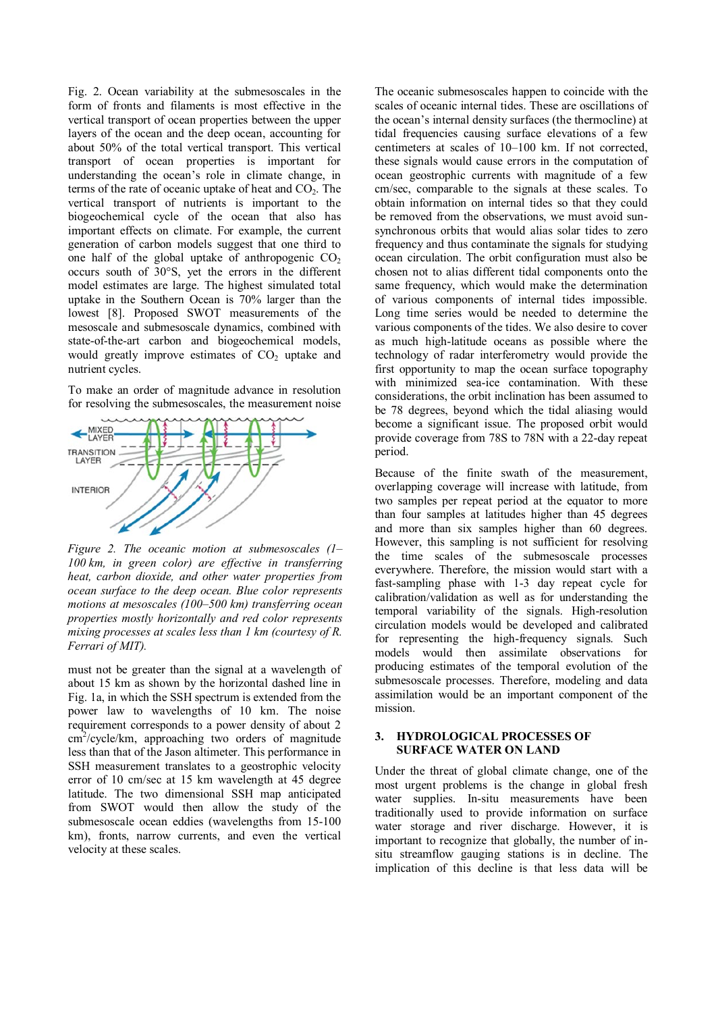Fig. 2. Ocean variability at the submesoscales in the form of fronts and filaments is most effective in the vertical transport of ocean properties between the upper layers of the ocean and the deep ocean, accounting for about 50% of the total vertical transport. This vertical transport of ocean properties is important for understanding the ocean's role in climate change, in terms of the rate of oceanic uptake of heat and  $CO<sub>2</sub>$ . The vertical transport of nutrients is important to the biogeochemical cycle of the ocean that also has important effects on climate. For example, the current generation of carbon models suggest that one third to one half of the global uptake of anthropogenic  $CO<sub>2</sub>$ occurs south of 30°S, yet the errors in the different model estimates are large. The highest simulated total uptake in the Southern Ocean is 70% larger than the lowest [8]. Proposed SWOT measurements of the mesoscale and submesoscale dynamics, combined with state-of-the-art carbon and biogeochemical models, would greatly improve estimates of  $CO<sub>2</sub>$  uptake and nutrient cycles.

To make an order of magnitude advance in resolution for resolving the submesoscales, the measurement noise



*Figure 2. The oceanic motion at submesoscales (1– 100 km, in green color) are effective in transferring heat, carbon dioxide, and other water properties from ocean surface to the deep ocean. Blue color represents motions at mesoscales (100–500 km) transferring ocean properties mostly horizontally and red color represents mixing processes at scales less than 1 km (courtesy of R. Ferrari of MIT).*

must not be greater than the signal at a wavelength of about 15 km as shown by the horizontal dashed line in Fig. 1a, in which the SSH spectrum is extended from the power law to wavelengths of 10 km. The noise requirement corresponds to a power density of about 2 cm<sup>2</sup>/cycle/km, approaching two orders of magnitude less than that of the Jason altimeter. This performance in SSH measurement translates to a geostrophic velocity error of 10 cm/sec at 15 km wavelength at 45 degree latitude. The two dimensional SSH map anticipated from SWOT would then allow the study of the submesoscale ocean eddies (wavelengths from 15-100 km), fronts, narrow currents, and even the vertical velocity at these scales.

The oceanic submesoscales happen to coincide with the scales of oceanic internal tides. These are oscillations of the ocean's internal density surfaces (the thermocline) at tidal frequencies causing surface elevations of a few centimeters at scales of 10–100 km. If not corrected, these signals would cause errors in the computation of ocean geostrophic currents with magnitude of a few cm/sec, comparable to the signals at these scales. To obtain information on internal tides so that they could be removed from the observations, we must avoid sunsynchronous orbits that would alias solar tides to zero frequency and thus contaminate the signals for studying ocean circulation. The orbit configuration must also be chosen not to alias different tidal components onto the same frequency, which would make the determination of various components of internal tides impossible. Long time series would be needed to determine the various components of the tides. We also desire to cover as much high-latitude oceans as possible where the technology of radar interferometry would provide the first opportunity to map the ocean surface topography with minimized sea-ice contamination. With these considerations, the orbit inclination has been assumed to be 78 degrees, beyond which the tidal aliasing would become a significant issue. The proposed orbit would provide coverage from 78S to 78N with a 22-day repeat period.

Because of the finite swath of the measurement, overlapping coverage will increase with latitude, from two samples per repeat period at the equator to more than four samples at latitudes higher than 45 degrees and more than six samples higher than 60 degrees. However, this sampling is not sufficient for resolving the time scales of the submesoscale processes everywhere. Therefore, the mission would start with a fast-sampling phase with 1-3 day repeat cycle for calibration/validation as well as for understanding the temporal variability of the signals. High-resolution circulation models would be developed and calibrated for representing the high-frequency signals. Such models would then assimilate observations for producing estimates of the temporal evolution of the submesoscale processes. Therefore, modeling and data assimilation would be an important component of the mission.

### **3. HYDROLOGICAL PROCESSES OF SURFACE WATER ON LAND**

Under the threat of global climate change, one of the most urgent problems is the change in global fresh water supplies. In-situ measurements have been traditionally used to provide information on surface water storage and river discharge. However, it is important to recognize that globally, the number of insitu streamflow gauging stations is in decline. The implication of this decline is that less data will be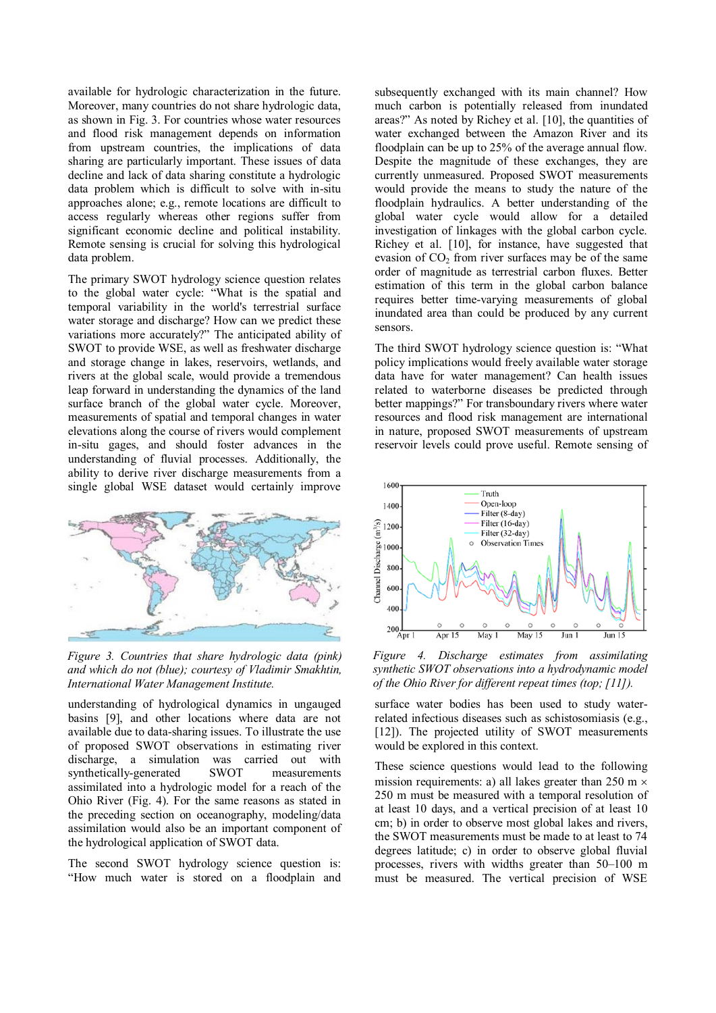available for hydrologic characterization in the future. Moreover, many countries do not share hydrologic data, as shown in Fig. 3. For countries whose water resources and flood risk management depends on information from upstream countries, the implications of data sharing are particularly important. These issues of data decline and lack of data sharing constitute a hydrologic data problem which is difficult to solve with in-situ approaches alone; e.g., remote locations are difficult to access regularly whereas other regions suffer from significant economic decline and political instability. Remote sensing is crucial for solving this hydrological data problem.

The primary SWOT hydrology science question relates to the global water cycle: "What is the spatial and temporal variability in the world's terrestrial surface water storage and discharge? How can we predict these variations more accurately?" The anticipated ability of SWOT to provide WSE, as well as freshwater discharge and storage change in lakes, reservoirs, wetlands, and rivers at the global scale, would provide a tremendous leap forward in understanding the dynamics of the land surface branch of the global water cycle. Moreover, measurements of spatial and temporal changes in water elevations along the course of rivers would complement in-situ gages, and should foster advances in the understanding of fluvial processes. Additionally, the ability to derive river discharge measurements from a single global WSE dataset would certainly improve



*Figure 3. Countries that share hydrologic data (pink) and which do not (blue); courtesy of Vladimir Smakhtin, International Water Management Institute.*

understanding of hydrological dynamics in ungauged basins [9], and other locations where data are not available due to data-sharing issues. To illustrate the use of proposed SWOT observations in estimating river discharge, a simulation was carried out with synthetically-generated SWOT measurements assimilated into a hydrologic model for a reach of the Ohio River (Fig. 4). For the same reasons as stated in the preceding section on oceanography, modeling/data assimilation would also be an important component of the hydrological application of SWOT data.

The second SWOT hydrology science question is: "How much water is stored on a floodplain and subsequently exchanged with its main channel? How much carbon is potentially released from inundated areas?" As noted by Richey et al. [10], the quantities of water exchanged between the Amazon River and its floodplain can be up to 25% of the average annual flow. Despite the magnitude of these exchanges, they are currently unmeasured. Proposed SWOT measurements would provide the means to study the nature of the floodplain hydraulics. A better understanding of the global water cycle would allow for a detailed investigation of linkages with the global carbon cycle. Richey et al. [10], for instance, have suggested that evasion of  $CO<sub>2</sub>$  from river surfaces may be of the same order of magnitude as terrestrial carbon fluxes. Better estimation of this term in the global carbon balance requires better time-varying measurements of global inundated area than could be produced by any current sensors.

The third SWOT hydrology science question is: "What policy implications would freely available water storage data have for water management? Can health issues related to waterborne diseases be predicted through better mappings?" For transboundary rivers where water resources and flood risk management are international in nature, proposed SWOT measurements of upstream reservoir levels could prove useful. Remote sensing of



*Figure 4. Discharge estimates from assimilating synthetic SWOT observations into a hydrodynamic model of the Ohio River for different repeat times (top; [11]).*

surface water bodies has been used to study waterrelated infectious diseases such as schistosomiasis (e.g., [12]). The projected utility of SWOT measurements would be explored in this context.

These science questions would lead to the following mission requirements: a) all lakes greater than 250 m  $\times$ 250 m must be measured with a temporal resolution of at least 10 days, and a vertical precision of at least 10 cm; b) in order to observe most global lakes and rivers, the SWOT measurements must be made to at least to 74 degrees latitude; c) in order to observe global fluvial processes, rivers with widths greater than 50–100 m must be measured. The vertical precision of WSE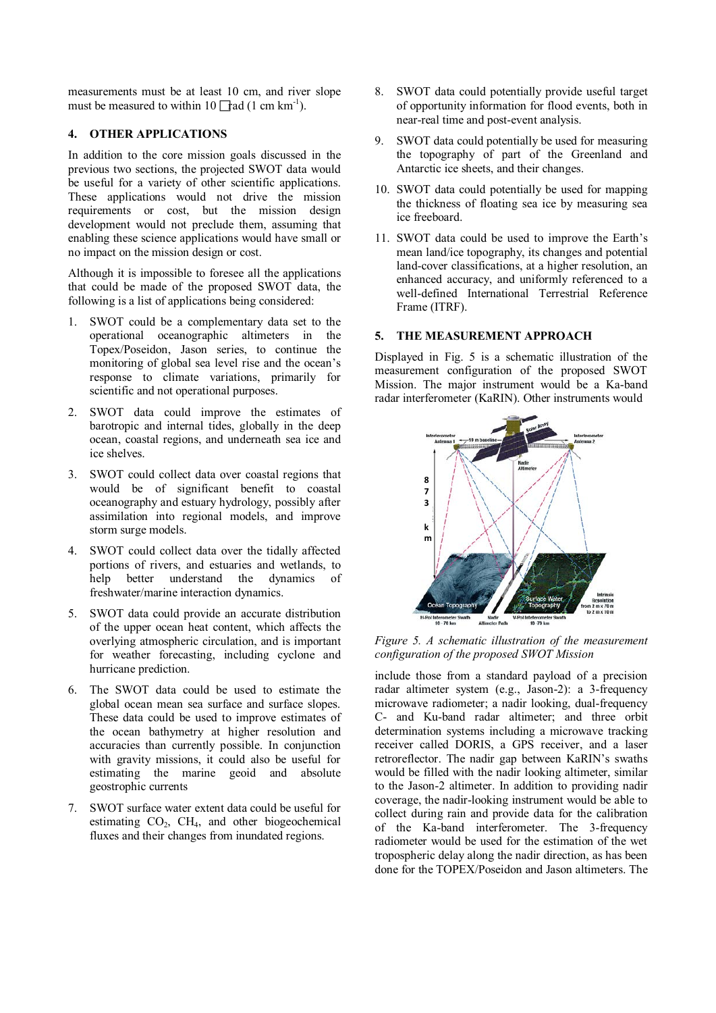measurements must be at least 10 cm, and river slope must be measured to within  $10$   $\text{rad}$  (1 cm km<sup>-1</sup>).

### **4. OTHER APPLICATIONS**

In addition to the core mission goals discussed in the previous two sections, the projected SWOT data would be useful for a variety of other scientific applications. These applications would not drive the mission requirements or cost, but the mission design development would not preclude them, assuming that enabling these science applications would have small or no impact on the mission design or cost.

Although it is impossible to foresee all the applications that could be made of the proposed SWOT data, the following is a list of applications being considered:

- 1. SWOT could be a complementary data set to the operational oceanographic altimeters in the Topex/Poseidon, Jason series, to continue the monitoring of global sea level rise and the ocean's response to climate variations, primarily for scientific and not operational purposes.
- 2. SWOT data could improve the estimates of barotropic and internal tides, globally in the deep ocean, coastal regions, and underneath sea ice and ice shelves.
- 3. SWOT could collect data over coastal regions that would be of significant benefit to coastal oceanography and estuary hydrology, possibly after assimilation into regional models, and improve storm surge models.
- 4. SWOT could collect data over the tidally affected portions of rivers, and estuaries and wetlands, to help better understand the dynamics of freshwater/marine interaction dynamics.
- 5. SWOT data could provide an accurate distribution of the upper ocean heat content, which affects the overlying atmospheric circulation, and is important for weather forecasting, including cyclone and hurricane prediction.
- 6. The SWOT data could be used to estimate the global ocean mean sea surface and surface slopes. These data could be used to improve estimates of the ocean bathymetry at higher resolution and accuracies than currently possible. In conjunction with gravity missions, it could also be useful for estimating the marine geoid and absolute geostrophic currents
- 7. SWOT surface water extent data could be useful for estimating CO2, CH4, and other biogeochemical fluxes and their changes from inundated regions.
- 8. SWOT data could potentially provide useful target of opportunity information for flood events, both in near-real time and post-event analysis.
- 9. SWOT data could potentially be used for measuring the topography of part of the Greenland and Antarctic ice sheets, and their changes.
- 10. SWOT data could potentially be used for mapping the thickness of floating sea ice by measuring sea ice freeboard.
- 11. SWOT data could be used to improve the Earth's mean land/ice topography, its changes and potential land-cover classifications, at a higher resolution, an enhanced accuracy, and uniformly referenced to a well-defined International Terrestrial Reference Frame (ITRF).

# **5. THE MEASUREMENT APPROACH**

Displayed in Fig. 5 is a schematic illustration of the measurement configuration of the proposed SWOT Mission. The major instrument would be a Ka-band radar interferometer (KaRIN). Other instruments would



*Figure 5. A schematic illustration of the measurement configuration of the proposed SWOT Mission*

include those from a standard payload of a precision radar altimeter system (e.g., Jason-2): a 3-frequency microwave radiometer; a nadir looking, dual-frequency C- and Ku-band radar altimeter; and three orbit determination systems including a microwave tracking receiver called DORIS, a GPS receiver, and a laser retroreflector. The nadir gap between KaRIN's swaths would be filled with the nadir looking altimeter, similar to the Jason-2 altimeter. In addition to providing nadir coverage, the nadir-looking instrument would be able to collect during rain and provide data for the calibration of the Ka-band interferometer. The 3-frequency radiometer would be used for the estimation of the wet tropospheric delay along the nadir direction, as has been done for the TOPEX/Poseidon and Jason altimeters. The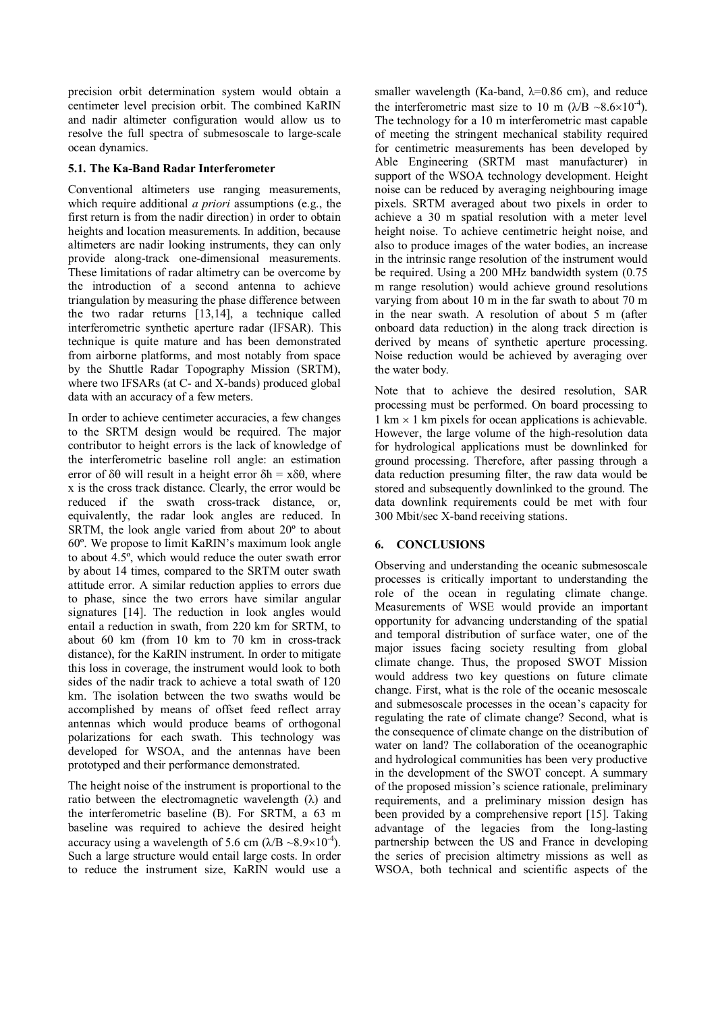precision orbit determination system would obtain a centimeter level precision orbit. The combined KaRIN and nadir altimeter configuration would allow us to resolve the full spectra of submesoscale to large-scale ocean dynamics.

## **5.1. The Ka-Band Radar Interferometer**

Conventional altimeters use ranging measurements, which require additional *a priori* assumptions (e.g., the first return is from the nadir direction) in order to obtain heights and location measurements. In addition, because altimeters are nadir looking instruments, they can only provide along-track one-dimensional measurements. These limitations of radar altimetry can be overcome by the introduction of a second antenna to achieve triangulation by measuring the phase difference between the two radar returns [13,14], a technique called interferometric synthetic aperture radar (IFSAR). This technique is quite mature and has been demonstrated from airborne platforms, and most notably from space by the Shuttle Radar Topography Mission (SRTM), where two IFSARs (at C- and X-bands) produced global data with an accuracy of a few meters.

In order to achieve centimeter accuracies, a few changes to the SRTM design would be required. The major contributor to height errors is the lack of knowledge of the interferometric baseline roll angle: an estimation error of  $\delta\theta$  will result in a height error  $\delta h = x \delta\theta$ , where x is the cross track distance. Clearly, the error would be reduced if the swath cross-track distance, or, equivalently, the radar look angles are reduced. In SRTM, the look angle varied from about 20º to about 60º. We propose to limit KaRIN's maximum look angle to about 4.5º, which would reduce the outer swath error by about 14 times, compared to the SRTM outer swath attitude error. A similar reduction applies to errors due to phase, since the two errors have similar angular signatures [14]. The reduction in look angles would entail a reduction in swath, from 220 km for SRTM, to about 60 km (from 10 km to 70 km in cross-track distance), for the KaRIN instrument. In order to mitigate this loss in coverage, the instrument would look to both sides of the nadir track to achieve a total swath of 120 km. The isolation between the two swaths would be accomplished by means of offset feed reflect array antennas which would produce beams of orthogonal polarizations for each swath. This technology was developed for WSOA, and the antennas have been prototyped and their performance demonstrated.

The height noise of the instrument is proportional to the ratio between the electromagnetic wavelength  $(\lambda)$  and the interferometric baseline (B). For SRTM, a 63 m baseline was required to achieve the desired height accuracy using a wavelength of 5.6 cm  $(\lambda/B \sim 8.9 \times 10^{-4})$ . Such a large structure would entail large costs. In order to reduce the instrument size, KaRIN would use a smaller wavelength (Ka-band,  $\lambda$ =0.86 cm), and reduce the interferometric mast size to 10 m  $(\lambda/B \sim 8.6 \times 10^{-4})$ . The technology for a 10 m interferometric mast capable of meeting the stringent mechanical stability required for centimetric measurements has been developed by Able Engineering (SRTM mast manufacturer) in support of the WSOA technology development. Height noise can be reduced by averaging neighbouring image pixels. SRTM averaged about two pixels in order to achieve a 30 m spatial resolution with a meter level height noise. To achieve centimetric height noise, and also to produce images of the water bodies, an increase in the intrinsic range resolution of the instrument would be required. Using a 200 MHz bandwidth system (0.75 m range resolution) would achieve ground resolutions varying from about 10 m in the far swath to about 70 m in the near swath. A resolution of about 5 m (after onboard data reduction) in the along track direction is derived by means of synthetic aperture processing. Noise reduction would be achieved by averaging over the water body.

Note that to achieve the desired resolution, SAR processing must be performed. On board processing to  $1 \text{ km} \times 1 \text{ km}$  pixels for ocean applications is achievable. However, the large volume of the high-resolution data for hydrological applications must be downlinked for ground processing. Therefore, after passing through a data reduction presuming filter, the raw data would be stored and subsequently downlinked to the ground. The data downlink requirements could be met with four 300 Mbit/sec X-band receiving stations.

# **6. CONCLUSIONS**

Observing and understanding the oceanic submesoscale processes is critically important to understanding the role of the ocean in regulating climate change. Measurements of WSE would provide an important opportunity for advancing understanding of the spatial and temporal distribution of surface water, one of the major issues facing society resulting from global climate change. Thus, the proposed SWOT Mission would address two key questions on future climate change. First, what is the role of the oceanic mesoscale and submesoscale processes in the ocean's capacity for regulating the rate of climate change? Second, what is the consequence of climate change on the distribution of water on land? The collaboration of the oceanographic and hydrological communities has been very productive in the development of the SWOT concept. A summary of the proposed mission's science rationale, preliminary requirements, and a preliminary mission design has been provided by a comprehensive report [15]. Taking advantage of the legacies from the long-lasting partnership between the US and France in developing the series of precision altimetry missions as well as WSOA, both technical and scientific aspects of the